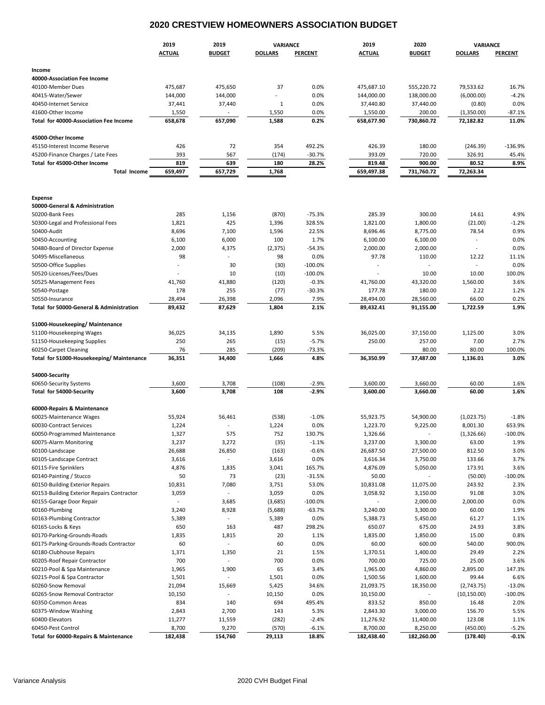## **2020 CRESTVIEW HOMEOWNERS ASSOCIATION BUDGET**

|                                                     | 2019          | 2019                     | VARIANCE       |                | 2019           | 2020                     | VARIANCE                 |                |  |
|-----------------------------------------------------|---------------|--------------------------|----------------|----------------|----------------|--------------------------|--------------------------|----------------|--|
|                                                     | <b>ACTUAL</b> | <b>BUDGET</b>            | <b>DOLLARS</b> | <b>PERCENT</b> | <b>ACTUAL</b>  | <b>BUDGET</b>            | <b>DOLLARS</b>           | <b>PERCENT</b> |  |
|                                                     |               |                          |                |                |                |                          |                          |                |  |
| Income                                              |               |                          |                |                |                |                          |                          |                |  |
| 40000-Association Fee Income<br>40100-Member Dues   | 475,687       | 475,650                  | 37             | 0.0%           | 475,687.10     | 555,220.72               | 79,533.62                | 16.7%          |  |
| 40415-Water/Sewer                                   | 144,000       | 144,000                  |                | 0.0%           | 144,000.00     | 138,000.00               | (6,000.00)               | $-4.2%$        |  |
| 40450-Internet Service                              | 37,441        | 37,440                   | 1              | 0.0%           | 37,440.80      | 37,440.00                | (0.80)                   | 0.0%           |  |
| 41600-Other Income                                  | 1,550         |                          | 1,550          | 0.0%           | 1,550.00       | 200.00                   | (1,350.00)               | $-87.1%$       |  |
| Total for 40000-Association Fee Income              | 658,678       | 657,090                  | 1,588          | 0.2%           | 658,677.90     | 730,860.72               | 72,182.82                | 11.0%          |  |
|                                                     |               |                          |                |                |                |                          |                          |                |  |
| 45000-Other Income<br>45150-Interest Income Reserve | 426           | 72                       | 354            | 492.2%         | 426.39         | 180.00                   | (246.39)                 | $-136.9%$      |  |
| 45200-Finance Charges / Late Fees                   | 393           | 567                      | (174)          | $-30.7%$       | 393.09         | 720.00                   | 326.91                   | 45.4%          |  |
| Total for 45000-Other Income                        | 819           | 639                      | 180            | 28.2%          | 819.48         | 900.00                   | 80.52                    | 8.9%           |  |
| <b>Total Income</b>                                 | 659,497       | 657,729                  | 1,768          |                | 659,497.38     | 731,760.72               | 72,263.34                |                |  |
|                                                     |               |                          |                |                |                |                          |                          |                |  |
| <b>Expense</b>                                      |               |                          |                |                |                |                          |                          |                |  |
| 50000-General & Administration                      |               |                          |                |                |                |                          |                          |                |  |
| 50200-Bank Fees                                     | 285           | 1,156                    | (870)          | $-75.3%$       | 285.39         | 300.00                   | 14.61                    | 4.9%           |  |
| 50300-Legal and Professional Fees                   | 1,821         | 425                      | 1,396          | 328.5%         | 1,821.00       | 1,800.00                 | (21.00)                  | $-1.2%$        |  |
| 50400-Audit                                         | 8,696         | 7,100                    | 1,596          | 22.5%          | 8,696.46       | 8,775.00                 | 78.54                    | 0.9%           |  |
| 50450-Accounting                                    | 6,100         | 6,000                    | 100            | 1.7%           | 6,100.00       | 6,100.00                 | $\overline{a}$           | 0.0%           |  |
| 50480-Board of Director Expense                     | 2,000         | 4,375                    | (2, 375)       | $-54.3%$       | 2,000.00       | 2,000.00                 | $\overline{\phantom{a}}$ | 0.0%           |  |
| 50495-Miscellaneous                                 | 98            |                          | 98             | 0.0%           | 97.78          | 110.00                   | 12.22                    | 11.1%          |  |
| 50500-Office Supplies                               |               | 30                       | (30)           | $-100.0%$      | $\overline{a}$ | $\overline{\phantom{a}}$ | $\overline{a}$           | 0.0%           |  |
| 50520-Licenses/Fees/Dues                            |               | 10                       | (10)           | $-100.0%$      |                | 10.00                    | 10.00                    | 100.0%         |  |
| 50525-Management Fees                               | 41,760        | 41,880                   | (120)          | $-0.3%$        | 41,760.00      | 43,320.00                | 1,560.00                 | 3.6%           |  |
| 50540-Postage                                       | 178           | 255                      | (77)           | $-30.3%$       | 177.78         | 180.00                   | 2.22                     | 1.2%           |  |
| 50550-Insurance                                     | 28,494        | 26,398                   | 2,096          | 7.9%           | 28,494.00      | 28,560.00                | 66.00                    | 0.2%           |  |
| Total for 50000-General & Administration            | 89,432        | 87,629                   | 1,804          | 2.1%           | 89,432.41      | 91,155.00                | 1,722.59                 | 1.9%           |  |
|                                                     |               |                          |                |                |                |                          |                          |                |  |
| 51000-Housekeeping/Maintenance                      |               |                          |                |                |                |                          |                          |                |  |
| 51100-Housekeeping Wages                            | 36,025        | 34,135                   | 1,890          | 5.5%           | 36,025.00      | 37,150.00                | 1,125.00                 | 3.0%           |  |
| 51150-Housekeeping Supplies                         | 250           | 265                      | (15)           | $-5.7%$        | 250.00         | 257.00                   | 7.00                     | 2.7%           |  |
| 60250-Carpet Cleaning                               | 76            | 285                      | (209)          | $-73.3%$       |                | 80.00                    | 80.00                    | 100.0%         |  |
| Total for 51000-Housekeeping/ Maintenance           | 36,351        | 34,400                   | 1,666          | 4.8%           | 36,350.99      | 37,487.00                | 1,136.01                 | 3.0%           |  |
| 54000-Security                                      |               |                          |                |                |                |                          |                          |                |  |
| 60650-Security Systems                              | 3,600         | 3,708                    | (108)          | $-2.9%$        | 3,600.00       | 3,660.00                 | 60.00                    | 1.6%           |  |
| Total for 54000-Security                            | 3,600         | 3,708                    | 108            | $-2.9%$        | 3,600.00       | 3,660.00                 | 60.00                    | 1.6%           |  |
|                                                     |               |                          |                |                |                |                          |                          |                |  |
| 60000-Repairs & Maintenance                         |               |                          |                |                |                |                          |                          |                |  |
| 60025-Maintenance Wages                             | 55,924        | 56,461                   | (538)          | $-1.0%$        | 55,923.75      | 54,900.00                | (1,023.75)               | $-1.8%$        |  |
| 60030-Contract Services                             | 1,224         |                          | 1,224          | 0.0%           | 1,223.70       | 9,225.00                 | 8,001.30                 | 653.9%         |  |
| 60050-Programmed Maintenance                        | 1,327         | 575                      | 752            | 130.7%         | 1,326.66       | $\overline{\phantom{a}}$ | (1,326.66)               | $-100.0%$      |  |
| 60075-Alarm Monitoring                              | 3,237         | 3,272                    | (35)           | $-1.1%$        | 3,237.00       | 3,300.00                 | 63.00                    | 1.9%           |  |
| 60100-Landscape                                     | 26,688        | 26,850                   | (163)          | $-0.6%$        | 26,687.50      | 27,500.00                | 812.50                   | 3.0%           |  |
| 60105-Landscape Contract                            | 3,616         | $\overline{\phantom{a}}$ | 3,616          | 0.0%           | 3,616.34       | 3,750.00                 | 133.66                   | 3.7%           |  |
| 60115-Fire Sprinklers                               | 4,876         | 1,835                    | 3,041          | 165.7%         | 4,876.09       | 5,050.00                 | 173.91                   | 3.6%           |  |
| 60140-Painting / Stucco                             | 50            | 73                       | (23)           | $-31.5%$       | 50.00          | $\blacksquare$           | (50.00)                  | $-100.0%$      |  |
| 60150-Building Exterior Repairs                     | 10,831        | 7,080                    | 3,751          | 53.0%          | 10,831.08      | 11,075.00                | 243.92                   | 2.3%           |  |
| 60153-Building Exterior Repairs Contractor          | 3,059         | $\overline{\phantom{a}}$ | 3,059          | 0.0%           | 3,058.92       | 3,150.00                 | 91.08                    | 3.0%           |  |
| 60155-Garage Door Repair                            |               | 3,685                    | (3,685)        | $-100.0%$      |                | 2,000.00                 | 2,000.00                 | 0.0%           |  |
| 60160-Plumbing                                      | 3,240         | 8,928                    | (5,688)        | $-63.7%$       | 3,240.00       | 3,300.00                 | 60.00                    | 1.9%           |  |
| 60163-Plumbing Contractor                           | 5,389         | $\overline{\phantom{a}}$ | 5,389          | 0.0%           | 5,388.73       | 5,450.00                 | 61.27                    | 1.1%           |  |
| 60165-Locks & Keys                                  | 650           | 163                      | 487            | 298.2%         | 650.07         | 675.00                   | 24.93                    | 3.8%           |  |
| 60170-Parking-Grounds-Roads                         | 1,835         | 1,815                    | 20             | 1.1%           | 1,835.00       | 1,850.00                 | 15.00                    | 0.8%           |  |
| 60175-Parking-Grounds-Roads Contractor              | 60            | $\overline{\phantom{a}}$ | 60             | 0.0%           | 60.00          | 600.00                   | 540.00                   | 900.0%         |  |
| 60180-Clubhouse Repairs                             | 1,371         | 1,350                    | 21             | 1.5%           | 1,370.51       | 1,400.00                 | 29.49                    | 2.2%           |  |
| 60205-Roof Repair Contractor                        | 700           | $\blacksquare$           | 700            | 0.0%           | 700.00         | 725.00                   | 25.00                    | 3.6%           |  |
| 60210-Pool & Spa Maintenance                        | 1,965         | 1,900                    | 65             | 3.4%           | 1,965.00       | 4,860.00                 | 2,895.00                 | 147.3%         |  |
| 60215-Pool & Spa Contractor                         | 1,501         |                          | 1,501          | 0.0%           | 1,500.56       | 1,600.00                 | 99.44                    | 6.6%           |  |
| 60260-Snow Removal                                  | 21,094        | 15,669                   | 5,425          | 34.6%          | 21,093.75      | 18,350.00                | (2,743.75)               | $-13.0%$       |  |
| 60265-Snow Removal Contractor                       | 10,150        |                          | 10,150         | 0.0%           | 10,150.00      |                          | (10, 150.00)             | $-100.0%$      |  |
| 60350-Common Areas                                  | 834           | 140                      | 694            | 495.4%         | 833.52         | 850.00                   | 16.48                    | 2.0%           |  |
| 60375-Window Washing                                | 2,843         | 2,700                    | 143            | 5.3%           | 2,843.30       | 3,000.00                 | 156.70                   | 5.5%           |  |
| 60400-Elevators                                     | 11,277        | 11,559                   | (282)          | $-2.4%$        | 11,276.92      | 11,400.00                | 123.08                   | 1.1%           |  |
| 60450-Pest Control                                  | 8,700         | 9,270                    | (570)          | $-6.1%$        | 8,700.00       | 8,250.00                 | (450.00)                 | -5.2%          |  |
| Total for 60000-Repairs & Maintenance               | 182,438       | 154,760                  | 29,113         | 18.8%          | 182,438.40     | 182,260.00               | (178.40)                 | $-0.1%$        |  |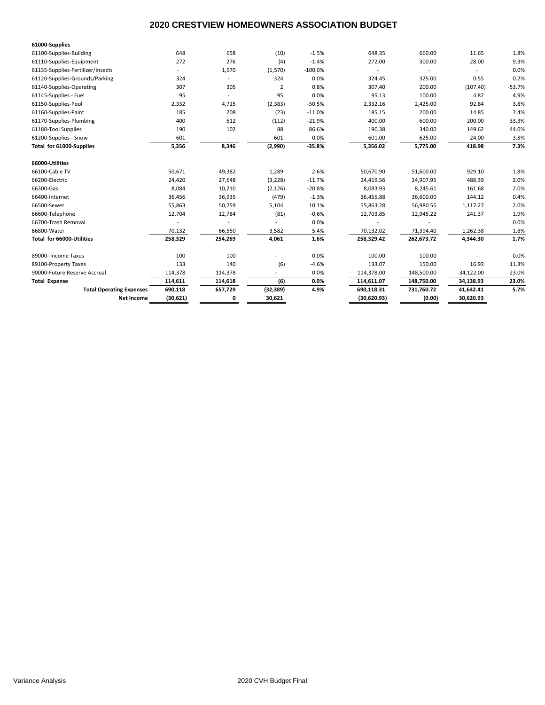## **2020 CRESTVIEW HOMEOWNERS ASSOCIATION BUDGET**

| 61000-Supplies                    |                          |         |                |           |             |            |           |          |
|-----------------------------------|--------------------------|---------|----------------|-----------|-------------|------------|-----------|----------|
| 61100-Supplies-Building           | 648                      | 658     | (10)           | $-1.5%$   | 648.35      | 660.00     | 11.65     | 1.8%     |
| 61110-Supplies-Equipment          | 272                      | 276     | (4)            | $-1.4%$   | 272.00      | 300.00     | 28.00     | 9.3%     |
| 61135-Supplies-Fertilizer/Insects | $\overline{\phantom{a}}$ | 1,570   | (1,570)        | $-100.0%$ |             |            |           | 0.0%     |
| 61120-Supplies-Grounds/Parking    | 324                      | $\sim$  | 324            | 0.0%      | 324.45      | 325.00     | 0.55      | 0.2%     |
| 61140-Supplies-Operating          | 307                      | 305     | $\overline{2}$ | 0.8%      | 307.40      | 200.00     | (107.40)  | $-53.7%$ |
| 61145-Supplies - Fuel             | 95                       |         | 95             | 0.0%      | 95.13       | 100.00     | 4.87      | 4.9%     |
| 61150-Supplies-Pool               | 2,332                    | 4,715   | (2, 383)       | $-50.5%$  | 2,332.16    | 2,425.00   | 92.84     | 3.8%     |
| 61160-Supplies-Paint              | 185                      | 208     | (23)           | $-11.0%$  | 185.15      | 200.00     | 14.85     | 7.4%     |
| 61170-Supplies-Plumbing           | 400                      | 512     | (112)          | $-21.9%$  | 400.00      | 600.00     | 200.00    | 33.3%    |
| 61180-Tool Supplies               | 190                      | 102     | 88             | 86.6%     | 190.38      | 340.00     | 149.62    | 44.0%    |
| 61200-Supplies - Snow             | 601                      |         | 601            | 0.0%      | 601.00      | 625.00     | 24.00     | 3.8%     |
| Total for 61000-Supplies          | 5,356                    | 8,346   | (2,990)        | $-35.8%$  | 5,356.02    | 5,775.00   | 418.98    | 7.3%     |
| 66000-Utilities                   |                          |         |                |           |             |            |           |          |
| 66100-Cable TV                    | 50.671                   | 49,382  | 1,289          | 2.6%      | 50,670.90   | 51,600.00  | 929.10    | 1.8%     |
| 66200-Electric                    | 24,420                   | 27,648  | (3, 228)       | $-11.7%$  | 24,419.56   | 24,907.95  | 488.39    | 2.0%     |
| 66300-Gas                         | 8.084                    | 10,210  | (2, 126)       | $-20.8%$  | 8,083.93    | 8,245.61   | 161.68    | 2.0%     |
| 66400-Internet                    | 36,456                   | 36,935  | (479)          | $-1.3%$   | 36,455.88   | 36,600.00  | 144.12    | 0.4%     |
| 66500-Sewer                       | 55,863                   | 50,759  | 5,104          | 10.1%     | 55,863.28   | 56,980.55  | 1,117.27  | 2.0%     |
| 66600-Telephone                   | 12,704                   | 12,784  | (81)           | $-0.6%$   | 12,703.85   | 12,945.22  | 241.37    | 1.9%     |
| 66700-Trash Removal               |                          |         |                | 0.0%      |             |            |           | 0.0%     |
| 66800-Water                       | 70,132                   | 66,550  | 3,582          | 5.4%      | 70,132.02   | 71,394.40  | 1,262.38  | 1.8%     |
| Total for 66000-Utilities         | 258,329                  | 254,269 | 4,061          | 1.6%      | 258,329.42  | 262,673.72 | 4,344.30  | 1.7%     |
| 89000- Income Taxes               | 100                      | 100     |                | 0.0%      | 100.00      | 100.00     |           | 0.0%     |
| 89100-Property Taxes              | 133                      | 140     | (6)            | $-4.6%$   | 133.07      | 150.00     | 16.93     | 11.3%    |
| 90000-Future Reserve Accrual      | 114,378                  | 114,378 | ÷.             | 0.0%      | 114,378.00  | 148,500.00 | 34,122.00 | 23.0%    |
| <b>Total Expense</b>              | 114,611                  | 114,618 | (6)            | 0.0%      | 114,611.07  | 148,750.00 | 34,138.93 | 23.0%    |
| <b>Total Operating Expenses</b>   | 690,118                  | 657,729 | (32, 389)      | 4.9%      | 690,118.31  | 731,760.72 | 41,642.41 | 5.7%     |
| <b>Net Income</b>                 | (30, 621)                | 0       | 30,621         |           | (30,620.93) | (0.00)     | 30,620.93 |          |
|                                   |                          |         |                |           |             |            |           |          |